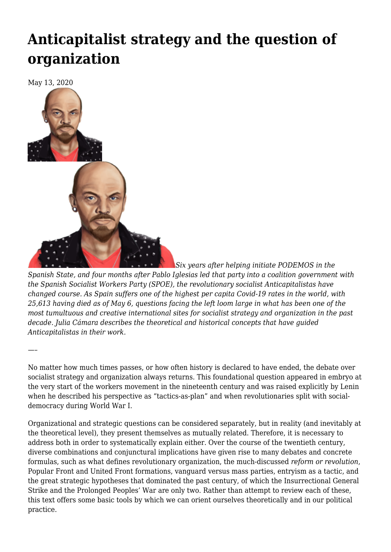# **[Anticapitalist strategy and the question of](https://newpol.org/anticapitalist-strategy-and-the-question-of-organization/) [organization](https://newpol.org/anticapitalist-strategy-and-the-question-of-organization/)**

May 13, 2020

—–



*Six years after [helping initiate PODEMOS](http://www.internationalviewpoint.org/spip.php?article6405) in the Spanish State, and four months after Pablo Iglesias led that party into a [coalition government](https://www.jacobinmag.com/2020/01/podemos-party-social-movement-pablo-iglesias) with the Spanish Socialist Workers Party (SPOE), the revolutionary socialist [Anticapitalistas](https://www.anticapitalistas.org) have [changed course.](https://nobordersnews.org/2020/02/20/anticapitalistas-statement-in-advance-of-the-podemos-citizen-assembly/) As Spain suffers one of the highest per capita Covid-19 rates in the world, with 25,613 having died as of May 6, questions facing the left loom large in what has been one of the most tumultuous and creative international sites for socialist strategy and organization in the past decade. Julia Cámara describes the theoretical and historical concepts that have guided Anticapitalistas in their work.*

No matter how much times passes, or how often history is declared to have ended, the debate over socialist strategy and organization always returns. This foundational question appeared in embryo at the very start of the workers movement in the nineteenth century and was raised explicitly by Lenin when he described his perspective as "[tactics-as-plan](https://www.marxists.org/archive/lenin/works/1901/witbd/v.htm)" and when [revolutionaries split with social](https://www.marxists.org/archive/lenin/works/1915/csi/)[democracy](https://www.marxists.org/archive/lenin/works/1915/csi/) during World War I.

Organizational and strategic questions can be considered separately, but in reality (and inevitably at the theoretical level), they present themselves as mutually related. Therefore, it is necessary to address both in order to systematically explain either. Over the course of the twentieth century, diverse combinations and conjunctural implications have given rise to many debates and concrete formulas, such as what defines revolutionary organization, the much-discussed *reform or revolution*, Popular Front and United Front formations, vanguard versus mass parties, entryism as a tactic, and the great strategic hypotheses that dominated the past century, of which the Insurrectional General Strike and the Prolonged Peoples' War are only two. Rather than attempt to review each of these, this text offers some basic tools by which we can orient ourselves theoretically and in our political practice.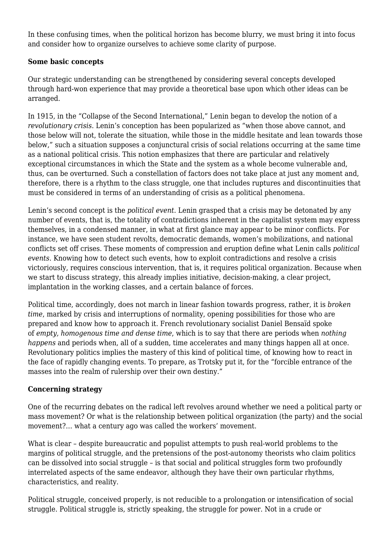In these confusing times, when the political horizon has become blurry, we must bring it into focus and consider how to organize ourselves to achieve some clarity of purpose.

### **Some basic concepts**

Our strategic understanding can be strengthened by considering several concepts developed through hard-won experience that may provide a theoretical base upon which other ideas can be arranged.

In 1915, in the "[Collapse of the Second International](https://www.marxists.org/archive/lenin/works/1915/csi/)," Lenin began to develop the notion of a *revolutionary crisis*. Lenin's conception has been popularized as "when those above cannot, and those below will not, tolerate the situation, while those in the middle hesitate and lean towards those below," such a situation supposes a conjunctural crisis of social relations occurring at the same time as a national political crisis. This notion emphasizes that there are particular and relatively exceptional circumstances in which the State and the system as a whole become vulnerable and, thus, can be overturned. Such a constellation of factors does not take place at just any moment and, therefore, there is a rhythm to the class struggle, one that includes ruptures and discontinuities that must be considered in terms of an understanding of crisis as a political phenomena.

Lenin's second concept is the *political event.* Lenin grasped that a crisis may be detonated by any number of events, that is, the totality of contradictions inherent in the capitalist system may express themselves, in a condensed manner, in what at first glance may appear to be minor conflicts. For instance, we have seen student revolts, democratic demands, women's mobilizations, and national conflicts set off crises. These moments of compression and eruption define what Lenin calls *political events.* Knowing how to detect such events, how to exploit contradictions and resolve a crisis victoriously, requires conscious intervention, that is, it requires political organization. Because when we start to discuss strategy, this already implies initiative, decision-making, a clear project, implantation in the working classes, and a certain balance of forces.

Political time, accordingly, does not march in linear fashion towards progress, rather, it is *broken time*, marked by crisis and interruptions of normality, opening possibilities for those who are prepared and know how to approach it. French revolutionary socialist Daniel Bensaïd spoke of *[empty, homogenous time](https://www.marxists.org/archive/bensaid/2002/07/leaps.htm) and dense time*, which is to say that there are periods when *nothing happens* and periods when, all of a sudden, time accelerates and many things happen all at once. Revolutionary politics implies the mastery of this kind of political time, of knowing how to react in the face of rapidly changing events. To prepare, as Trotsky put it, for the "[forcible entrance of the](https://www.marxists.org/archive/trotsky/1930/hrr/ch00.htm) [masses](https://www.marxists.org/archive/trotsky/1930/hrr/ch00.htm) into the realm of rulership over their own destiny."

## **Concerning strategy**

One of the recurring debates on the radical left revolves around whether we need a political party or mass movement? Or what is the relationship between political organization (the party) and the social movement?… what a century ago was called the workers' movement.

What is clear – despite bureaucratic and populist attempts to push real-world problems to the margins of political struggle, and the pretensions of the post-autonomy theorists who claim politics can be dissolved into social struggle – is that social and political struggles form two profoundly interrelated aspects of the same endeavor, although they have their own particular rhythms, characteristics, and reality.

Political struggle, conceived properly, is not reducible to a prolongation or intensification of social struggle. Political struggle is, strictly speaking, the struggle for power. Not in a crude or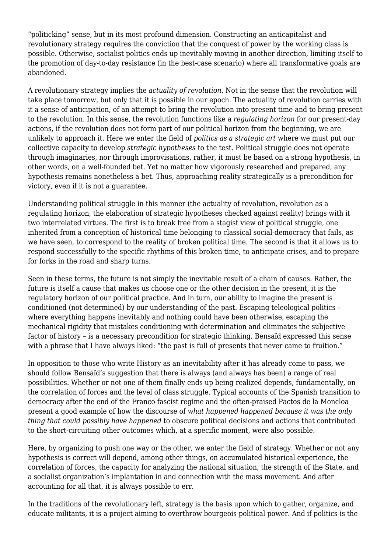"politicking" sense, but in its most profound dimension. Constructing an anticapitalist and revolutionary strategy requires the conviction that the conquest of power by the working class is possible. Otherwise, socialist politics ends up inevitably moving in another direction, limiting itself to the promotion of day-to-day resistance (in the best-case scenario) where all transformative goals are abandoned.

A revolutionary strategy implies the *[actuality](https://vientosur.info/IMG/pdf/18._la_actualidad_de_la_revolucio_n.pdf) [of revolution](https://www.marxists.org/archive/lukacs/works/1924/lenin/ch01.htm)*. Not in the sense that the revolution will take place tomorrow, but only that it is possible in our epoch. The actuality of revolution carries with it a sense of anticipation, of an attempt to bring the revolution into present time and to bring present to the revolution. In this sense, the revolution functions like a *regulating horizon* for our present-day actions, if the revolution does not form part of our political horizon from the beginning, we are unlikely to approach it. Here we enter the field of *[politics as a strategic art](https://www.marxists.org/archive/bensaid/2006/08/polstrat.htm)* where we must put our collective capacity to develop *strategic hypotheses* to the test. Political struggle does not operate through imaginaries, nor through improvisations, rather, it must be based on a strong hypothesis, in other words, on a well-founded bet. Yet no matter how vigorously researched and prepared, any hypothesis remains nonetheless a bet. Thus, approaching reality strategically is a precondition for victory, even if it is not a guarantee.

Understanding political struggle in this manner (the actuality of revolution, revolution as a regulating horizon, the elaboration of strategic hypotheses checked against reality) brings with it two interrelated virtues. The first is to break free from a stagist view of political struggle, one inherited from a conception of historical time belonging to classical social-democracy that fails, as we have seen, to correspond to the reality of broken political time. The second is that it allows us to respond successfully to the specific rhythms of this broken time, to anticipate crises, and to prepare for forks in the road and sharp turns.

Seen in these terms, the future is not simply the inevitable result of a chain of causes. Rather, the future is itself a cause that makes us choose one or the other decision in the present, it is the regulatory horizon of our political practice. And in turn, our ability to imagine the present is conditioned (not determined) by our understanding of the past. Escaping teleological politics – where everything happens inevitably and nothing could have been otherwise, escaping the mechanical rigidity that mistakes conditioning with determination and eliminates the subjective factor of history – is a necessary precondition for strategic thinking. Bensaïd expressed this sense with a phrase that I have always liked: "the past is full of presents that never came to fruition."

In opposition to those who write History as an inevitability after it has already come to pass, we should follow Bensaïd's suggestion that there is always (and always has been) a range of real possibilities. Whether or not one of them finally ends up being realized depends, fundamentally, on the correlation of forces and the level of class struggle. Typical accounts of the Spanish transition to democracy after the end of the Franco fascist regime and the often-praised [Pactos de la Moncloa](http://www.historiasiglo20.org/4ESO/spainafterfranco.pdf) present a good example of how the discourse of *what happened happened because it was the only thing that could possibly have happened* to obscure political decisions and actions that contributed to the short-circuiting other outcomes which, at a specific moment, were also possible.

Here, by organizing to push one way or the other, we enter the field of strategy. Whether or not any hypothesis is correct will depend, among other things, on accumulated historical experience, the correlation of forces, the capacity for analyzing the national situation, the strength of the State, and a socialist organization's implantation in and connection with the mass movement. And after accounting for all that, it is always possible to err.

In the traditions of the revolutionary left, strategy is the basis upon which to gather, organize, and educate militants, it is a project aiming to overthrow bourgeois political power. And if politics is the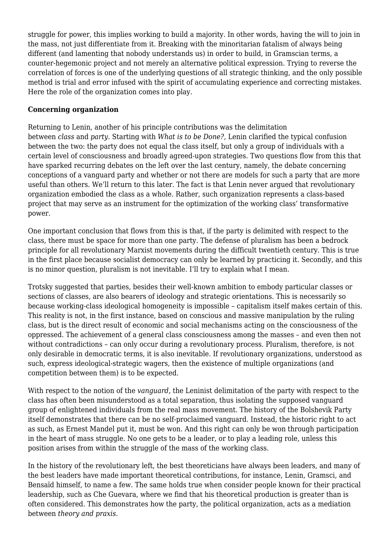struggle for power, this implies working to build a majority. In other words, having the will to join in the mass, not just differentiate from it. Breaking with the minoritarian fatalism of always being different (and lamenting that nobody understands us) in order to build, in Gramscian terms, a counter-hegemonic project and not merely an alternative political expression. Trying to reverse the correlation of forces is one of the underlying questions of all strategic thinking, and the only possible method is trial and error infused with the spirit of accumulating experience and correcting mistakes. Here the role of the organization comes into play.

### **Concerning organization**

Returning to Lenin, another of his principle contributions was the delimitation between *class* and *party.* Starting with *What is to be Done?,* Lenin clarified the typical confusion between the two: the party does not equal the class itself, but only a group of individuals with a certain level of consciousness and broadly agreed-upon strategies. Two questions flow from this that have sparked recurring debates on the left over the last century, namely, the debate concerning conceptions of a vanguard party and whether or not there are models for such a party that are more useful than others. We'll return to this later. The fact is that Lenin never argued that revolutionary organization embodied the class as a whole. Rather, such organization represents a class-based project that may serve as an instrument for the optimization of the working class' transformative power.

One important conclusion that flows from this is that, if the party is delimited with respect to the class, there must be space for more than one party. The defense of pluralism has been a bedrock principle for all revolutionary Marxist movements during the difficult twentieth century. This is true in the first place because socialist democracy can only be learned by practicing it. Secondly, and this is no minor question, pluralism is not inevitable. I'll try to explain what I mean.

Trotsky suggested that parties, besides their well-known ambition to embody particular classes or sections of classes, are also bearers of ideology and strategic orientations. This is necessarily so because working-class ideological homogeneity is impossible – capitalism itself makes certain of this. This reality is not, in the first instance, based on conscious and massive manipulation by the ruling class, but is the direct result of economic and social mechanisms acting on the consciousness of the oppressed. The achievement of a general class consciousness among the masses – and even then not without contradictions – can only occur during a revolutionary process. Pluralism, therefore, is not only desirable in democratic terms, it is also inevitable. If revolutionary organizations, understood as such, express ideological-strategic wagers, then the existence of multiple organizations (and competition between them) is to be expected.

With respect to the notion of the *vanguard*, the Leninist delimitation of the party with respect to the class has often been misunderstood as a total separation, thus isolating the supposed vanguard group of enlightened individuals from the real mass movement. The history of the Bolshevik Party itself demonstrates that there can be no self-proclaimed vanguard. Instead, the historic right to act as such, as Ernest Mandel put it, must be won. And this right can only be won through participation in the heart of mass struggle. No one gets to be a leader, or to play a leading role, unless this position arises from within the struggle of the mass of the working class.

In the history of the revolutionary left, the best theoreticians have always been leaders, and many of the best leaders have made important theoretical contributions, for instance, Lenin, Gramsci, and Bensaïd himself, to name a few. The same holds true when consider people known for their practical leadership, such as Che Guevara, where we find that his theoretical production is greater than is often considered. This demonstrates how the party, the political organization, acts as a mediation between *theory and praxis*.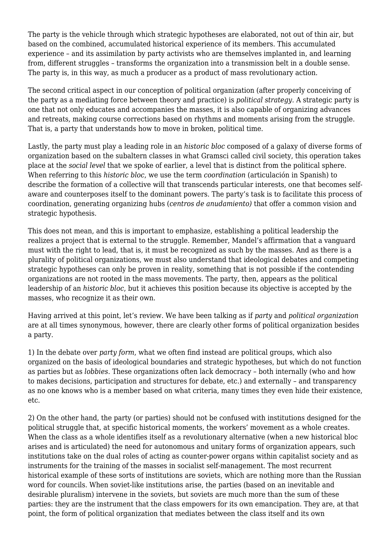The party is the vehicle through which strategic hypotheses are elaborated, not out of thin air, but based on the combined, accumulated historical experience of its members. This accumulated experience – and its assimilation by party activists who are themselves implanted in, and learning from, different struggles – transforms the organization into a transmission belt in a double sense. The party is, in this way, as much a producer as a product of mass revolutionary action.

The second critical aspect in our conception of political organization (after properly conceiving of the party as a mediating force between theory and practice) is *political strategy.* A strategic party is one that not only educates and accompanies the masses, it is also capable of organizing advances and retreats, making course corrections based on rhythms and moments arising from the struggle. That is, a party that understands how to move in broken, political time.

Lastly, the party must play a leading role in an *historic bloc* composed of a galaxy of diverse forms of organization based on the subaltern classes in what Gramsci called civil society, this operation takes place at the *social level* that we spoke of earlier, a level that is distinct from the political sphere. When referring to this *historic bloc*, we use the term *coordination* (articulación in Spanish) to describe the formation of a collective will that transcends particular interests, one that becomes selfaware and counterposes itself to the dominant powers. The party's task is to facilitate this process of coordination, generating organizing hubs (*centros de anudamiento)* that offer a common vision and strategic hypothesis.

This does not mean, and this is important to emphasize, establishing a political leadership the realizes a project that is external to the struggle. Remember, Mandel's affirmation that a vanguard must with the right to lead, that is, it must be recognized as such by the masses. And as there is a plurality of political organizations, we must also understand that ideological debates and competing strategic hypotheses can only be proven in reality, something that is not possible if the contending organizations are not rooted in the mass movements. The party, then, appears as the political leadership of an *historic bloc*, but it achieves this position because its objective is accepted by the masses, who recognize it as their own.

Having arrived at this point, let's review. We have been talking as if *party* and *political organization* are at all times synonymous, however, there are clearly other forms of political organization besides a party.

1) In the debate over *party form*, what we often find instead are political groups, which also organized on the basis of ideological boundaries and strategic hypotheses, but which do not function as parties but as *lobbies*. These organizations often lack democracy – both internally (who and how to makes decisions, participation and structures for debate, etc.) and externally – and transparency as no one knows who is a member based on what criteria, many times they even hide their existence, etc.

2) On the other hand, the party (or parties) should not be confused with institutions designed for the political struggle that, at specific historical moments, the workers' movement as a whole creates. When the class as a whole identifies itself as a revolutionary alternative (when a new historical bloc arises and is articulated) the need for autonomous and unitary forms of organization appears, such institutions take on the dual roles of acting as counter-power organs within capitalist society and as instruments for the training of the masses in socialist self-management. The most recurrent historical example of these sorts of institutions are soviets, which are nothing more than the Russian word for councils. When soviet-like institutions arise, the parties (based on an inevitable and desirable pluralism) intervene in the soviets, but soviets are much more than the sum of these parties: they are the instrument that the class empowers for its own emancipation. They are, at that point, the form of political organization that mediates between the class itself and its own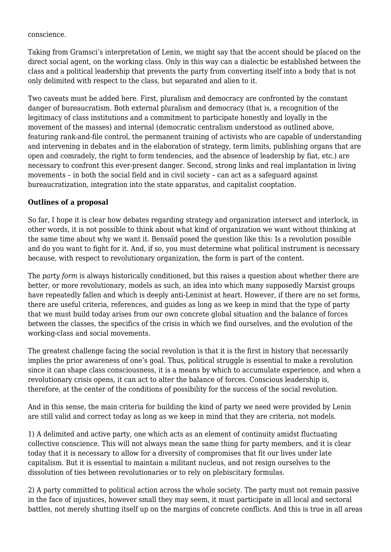#### conscience.

Taking from Gramsci's interpretation of Lenin, we might say that the accent should be placed on the direct social agent, on the working class. Only in this way can a dialectic be established between the class and a political leadership that prevents the party from converting itself into a body that is not only delimited with respect to the class, but separated and alien to it.

Two caveats must be added here. First, pluralism and democracy are confronted by the constant danger of bureaucratism. Both external pluralism and democracy (that is, a recognition of the legitimacy of class institutions and a commitment to participate honestly and loyally in the movement of the masses) and internal (democratic centralism understood as outlined above, featuring rank-and-file control, the permanent training of activists who are capable of understanding and intervening in debates and in the elaboration of strategy, term limits, publishing organs that are open and comradely, the right to form tendencies, and the absence of leadership by fiat, etc.) are necessary to confront this ever-present danger. Second, strong links and real implantation in living movements – in both the social field and in civil society – can act as a safeguard against bureaucratization, integration into the state apparatus, and capitalist cooptation.

#### **Outlines of a proposal**

So far, I hope it is clear how debates regarding strategy and organization intersect and interlock, in other words, it is not possible to think about what kind of organization we want without thinking at the same time about why we want it. Bensaïd posed the question like this: Is a revolution possible and do you want to fight for it. And, if so, you must determine what political instrument is necessary because, with respect to revolutionary organization, the form is part of the content.

The *party form* is always historically conditioned, but this raises a question about whether there are better, or more revolutionary, models as such, an idea into which many supposedly Marxist groups have repeatedly fallen and which is deeply anti-Leninist at heart. However, if there are no set forms, there are useful criteria, references, and guides as long as we keep in mind that the type of party that we must build today arises from our own concrete global situation and the balance of forces between the classes, the specifics of the crisis in which we find ourselves, and the evolution of the working-class and social movements.

The greatest challenge facing the social revolution is that it is the first in history that necessarily implies the prior awareness of one's goal. Thus, political struggle is essential to make a revolution since it can shape class consciousness, it is a means by which to accumulate experience, and when a revolutionary crisis opens, it can act to alter the balance of forces. Conscious leadership is, therefore, at the center of the conditions of possibility for the success of the social revolution.

And in this sense, the main criteria for building the kind of party we need were provided by Lenin are still valid and correct today as long as we keep in mind that they are criteria, not models.

1) A delimited and active party, one which acts as an element of continuity amidst fluctuating collective conscience. This will not always mean the same thing for party members, and it is clear today that it is necessary to allow for a diversity of compromises that fit our lives under late capitalism. But it is essential to maintain a militant nucleus, and not resign ourselves to the dissolution of ties between revolutionaries or to rely on plebiscitary formulas.

2) A party committed to political action across the whole society. The party must not remain passive in the face of injustices, however small they may seem, it must participate in all local and sectoral battles, not merely shutting itself up on the margins of concrete conflicts. And this is true in all areas